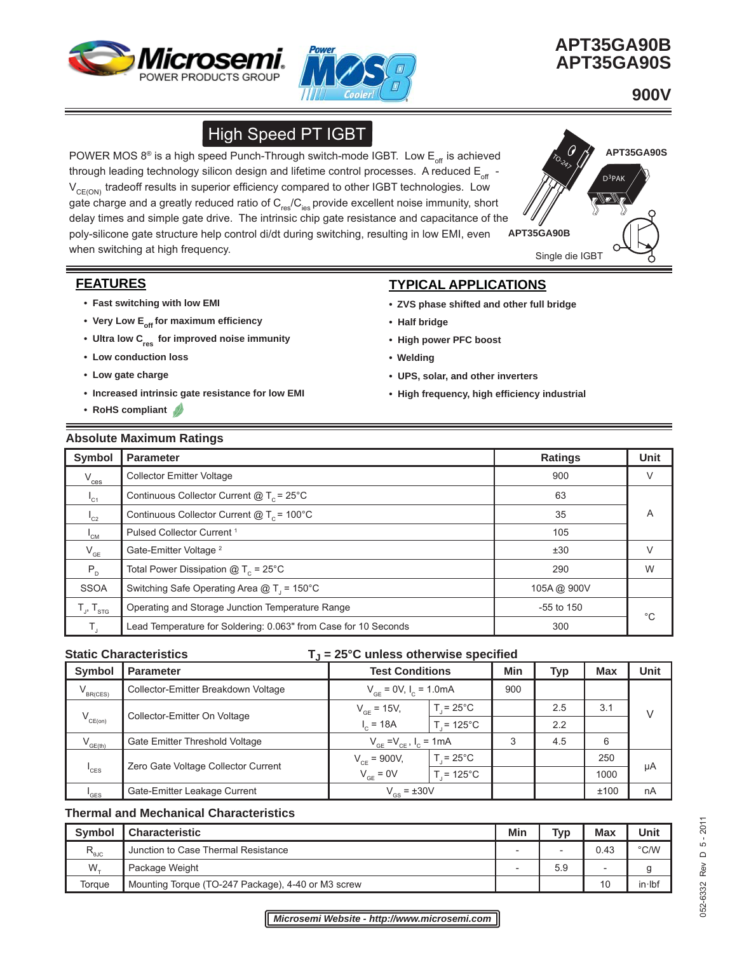



 **APT35GA90B APT35GA90S**

D3PAK

TO<sub>-247</sub>

 **900V** 

**APT35GA90S**

# High Speed PT IGBT

Single die IGBT **APT35GA90B** POWER MOS  $8^{\circ}$  is a high speed Punch-Through switch-mode IGBT. Low  $E_{\text{off}}$  is achieved through leading technology silicon design and lifetime control processes. A reduced  $E_{\text{off}}$  - $V_{CE(ON)}$  tradeoff results in superior efficiency compared to other IGBT technologies. Low gate charge and a greatly reduced ratio of  $C_{res}/C_{ies}$  provide excellent noise immunity, short delay times and simple gate drive. The intrinsic chip gate resistance and capacitance of the poly-silicone gate structure help control di/dt during switching, resulting in low EMI, even when switching at high frequency.

## **FEATURES**

- **Fast switching with low EMI**
- Very Low E<sub>off</sub> for maximum efficiency
- Ultra low C<sub>res</sub> for improved noise immunity
- **Low conduction loss**
- **Low gate charge**
- **Increased intrinsic gate resistance for low EMI**
- **RoHS compliant**

# **TYPICAL APPLICATIONS**

- **ZVS phase shifted and other full bridge**
- **Half bridge**
- **High power PFC boost**
- **Welding**
- **UPS, solar, and other inverters**
- **High frequency, high effi ciency industrial**

### **Absolute Maximum Ratings**

| Symbol                     | <b>Parameter</b>                                                | Ratings      | <b>Unit</b> |
|----------------------------|-----------------------------------------------------------------|--------------|-------------|
| $V_{\text{ces}}$           | <b>Collector Emitter Voltage</b>                                | 900          | $\vee$      |
| $I_{C1}$                   | Continuous Collector Current $@T_c = 25^{\circ}C$               | 63           |             |
| $I_{C2}$                   | Continuous Collector Current $@T_c = 100°C$                     | 35           | A           |
| $I_{CM}$                   | Pulsed Collector Current <sup>1</sup>                           | 105          |             |
| $\mathsf{V}_{\mathsf{GE}}$ | Gate-Emitter Voltage <sup>2</sup>                               | ±30          | V           |
| $P_{D}$                    | Total Power Dissipation $@T_c = 25^{\circ}C$                    | 290          | W           |
| <b>SSOA</b>                | Switching Safe Operating Area $@T_1 = 150°C$                    | 105A@ 900V   |             |
| $T_{J}$ , $T_{STG}$        | Operating and Storage Junction Temperature Range                | $-55$ to 150 | $^{\circ}C$ |
| Τ.                         | Lead Temperature for Soldering: 0.063" from Case for 10 Seconds | 300          |             |

#### **Static Characteristics** T<sub>J</sub> = 25°C unless otherwise specified

| <b>Symbol</b>       | <b>Parameter</b>                    | <b>Test Conditions</b>           |                    | Min | Typ | <b>Max</b> | Unit   |
|---------------------|-------------------------------------|----------------------------------|--------------------|-----|-----|------------|--------|
| $V_{BR(CES)}$       | Collector-Emitter Breakdown Voltage | $V_{GE} = 0V, I_c = 1.0mA$       |                    | 900 |     |            |        |
| $V_{CE(on)}$        | Collector-Emitter On Voltage        | $V_{GF}$ = 15V,                  | $T = 25^{\circ}$ C |     | 2.5 | 3.1        | $\vee$ |
|                     |                                     | $I_c = 18A$                      | $T = 125^{\circ}C$ |     | 2.2 |            |        |
| $V_{GE(th)}$        | Gate Emitter Threshold Voltage      | $V_{GF} = V_{CF}$ , $I_C = 1$ mA |                    | 3   | 4.5 | 6          |        |
|                     |                                     | $V_{CF}$ = 900V,                 | $T = 25^{\circ}$ C |     |     | 250        |        |
| $^{\prime}$ CES     | Zero Gate Voltage Collector Current | $V_{GE} = 0V$                    | $T = 125^{\circ}C$ |     |     | 1000       | μA     |
| $^{\mathsf{I}}$ GES | Gate-Emitter Leakage Current        | $V_{\text{ee}}$ = ±30V           |                    |     |     | ±100       | nA     |

#### **Thermal and Mechanical Characteristics**

| <b>Symbol</b>    | <b>Characteristic</b>                              | Min | Typ                      | <b>Max</b> | Unit     |
|------------------|----------------------------------------------------|-----|--------------------------|------------|----------|
| $R_{\text{euc}}$ | Junction to Case Thermal Resistance                |     | $\overline{\phantom{0}}$ | 0.43       | °C/W     |
| $W_{-}$          | Package Weight                                     |     | 5.9                      |            |          |
| Torque           | Mounting Torque (TO-247 Package), 4-40 or M3 screw |     |                          | 10         | $in$ lbf |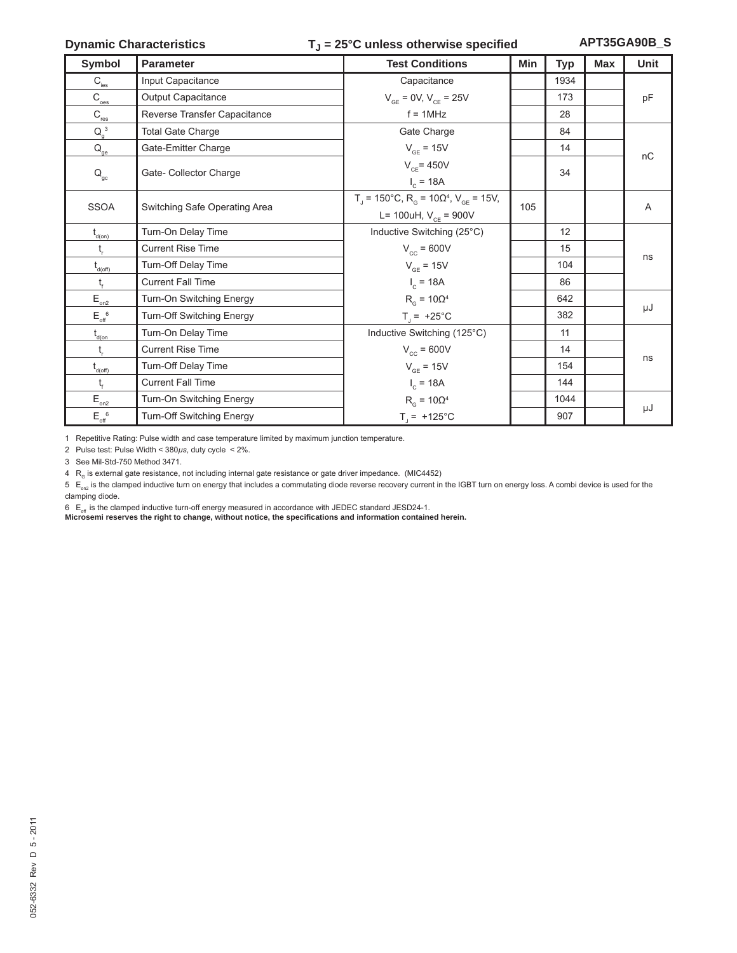### **Dynamic Characteristics** T<sub>J</sub> = 25°C unless otherwise specified

**APT35GA90B\_S**

| <b>Symbol</b>                                       | <b>Parameter</b>              | <b>Test Conditions</b>                                                             | Min | <b>Typ</b> | <b>Max</b> | Unit |
|-----------------------------------------------------|-------------------------------|------------------------------------------------------------------------------------|-----|------------|------------|------|
| $C_{\rm ies}$                                       | Input Capacitance             | Capacitance                                                                        |     | 1934       |            |      |
| $\mathsf{C}_{\textup{oes}}$                         | Output Capacitance            | $V_{GF} = 0V, V_{CE} = 25V$                                                        |     | 173        |            | pF   |
| $C_{\underline{\text{res}}}$                        | Reverse Transfer Capacitance  | $f = 1$ MHz                                                                        |     | 28         |            |      |
| $Q_g^3$                                             | <b>Total Gate Charge</b>      | Gate Charge                                                                        |     | 84         |            |      |
| $\mathsf{Q}_\mathsf{ge}$                            | Gate-Emitter Charge           | $V_{GE}$ = 15V                                                                     |     | 14         |            |      |
|                                                     | Gate- Collector Charge        | $V_{CF}$ = 450V                                                                    |     | 34         |            | nC   |
| $\mathsf{Q}_{\mathrm{gc}}$                          |                               | $I_c = 18A$                                                                        |     |            |            |      |
| <b>SSOA</b>                                         | Switching Safe Operating Area | $T_{\text{I}}$ = 150°C, R <sub>G</sub> = 10Ω <sup>4</sup> , V <sub>GE</sub> = 15V, | 105 |            |            | A    |
|                                                     |                               | L= 100uH, $V_{CF}$ = 900V                                                          |     |            |            |      |
| $t_{\text{d}(on)}$                                  | Turn-On Delay Time            | Inductive Switching (25°C)                                                         |     | 12         |            |      |
| t <sub>r</sub>                                      | <b>Current Rise Time</b>      | $V_{cc}$ = 600V                                                                    |     | 15         |            |      |
| $t_{\text{d(off)}}$                                 | Turn-Off Delay Time           | $V_{GE}$ = 15V                                                                     |     | 104        |            | ns   |
| t,                                                  | <b>Current Fall Time</b>      | $I_c = 18A$                                                                        |     | 86         |            |      |
| $\mathsf{E}_{\underline{\underline{\mathrm{on2}}}}$ | Turn-On Switching Energy      | $R_{\alpha}$ = 10 $\Omega^4$                                                       |     | 642        |            |      |
| $E_{\text{off}}^{\quad 6}$                          | Turn-Off Switching Energy     | $T_{\parallel}$ = +25°C                                                            |     | 382        |            | μJ   |
| $t_{\text{d}(on)}$                                  | Turn-On Delay Time            | Inductive Switching (125°C)                                                        |     | 11         |            |      |
| $t_{\rm r}$                                         | <b>Current Rise Time</b>      | $V_{cc}$ = 600V                                                                    |     | 14         |            |      |
| $\mathfrak{t}_{\scriptscriptstyle \sf d(off)}$      | Turn-Off Delay Time           | $V_{GE}$ = 15V                                                                     |     | 154        |            | ns   |
| t,                                                  | <b>Current Fall Time</b>      | $I_c = 18A$                                                                        |     | 144        |            |      |
| $\mathsf{E}_{\scriptscriptstyle{\mathsf{on2}}}$     | Turn-On Switching Energy      | $R_{\alpha}$ = 10 $\Omega^4$                                                       |     | 1044       |            |      |
| $E_{\text{off}}^{\ 6}$                              | Turn-Off Switching Energy     | $T_{j}$ = +125°C                                                                   |     | 907        |            | μJ   |

1 Repetitive Rating: Pulse width and case temperature limited by maximum junction temperature.

2 Pulse test: Pulse Width < 380*μs*, duty cycle < 2%.

3 See Mil-Std-750 Method 3471.

4 R<sub>c</sub> is external gate resistance, not including internal gate resistance or gate driver impedance. (MIC4452)

 $5 E_{on2}$  is the clamped inductive turn on energy that includes a commutating diode reverse recovery current in the IGBT turn on energy loss. A combi device is used for the clamping diode.

 $6 E_{\text{off}}$  is the clamped inductive turn-off energy measured in accordance with JEDEC standard JESD24-1.

**Microsemi reserves the right to change, without notice, the specifi cations and information contained herein.**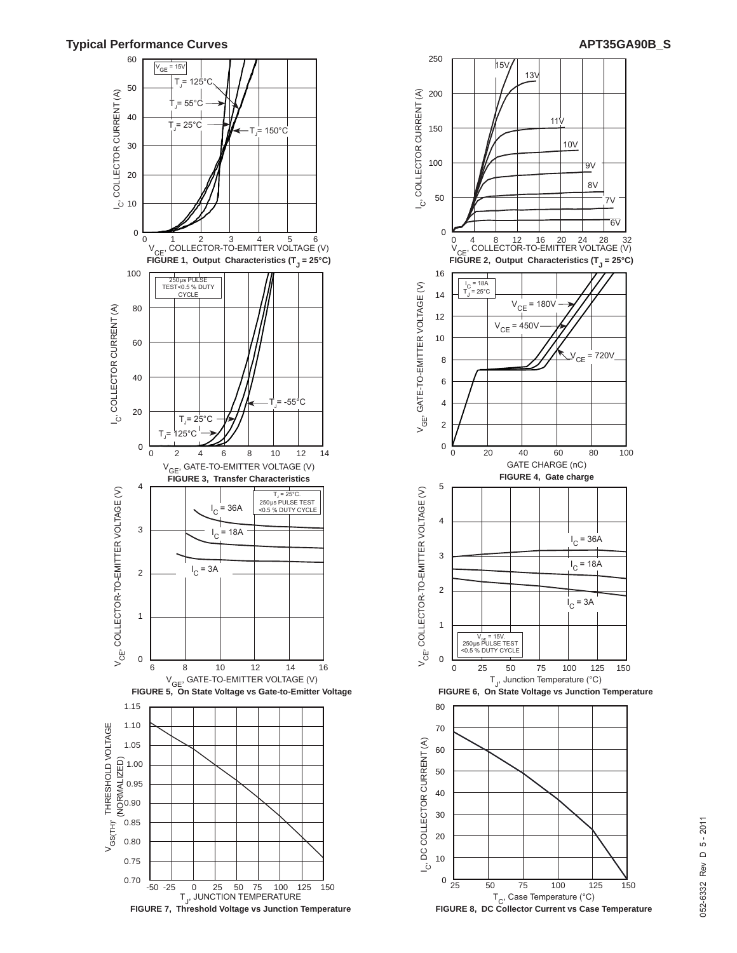#### **Typical Performance Curves APT35GA90B\_S**



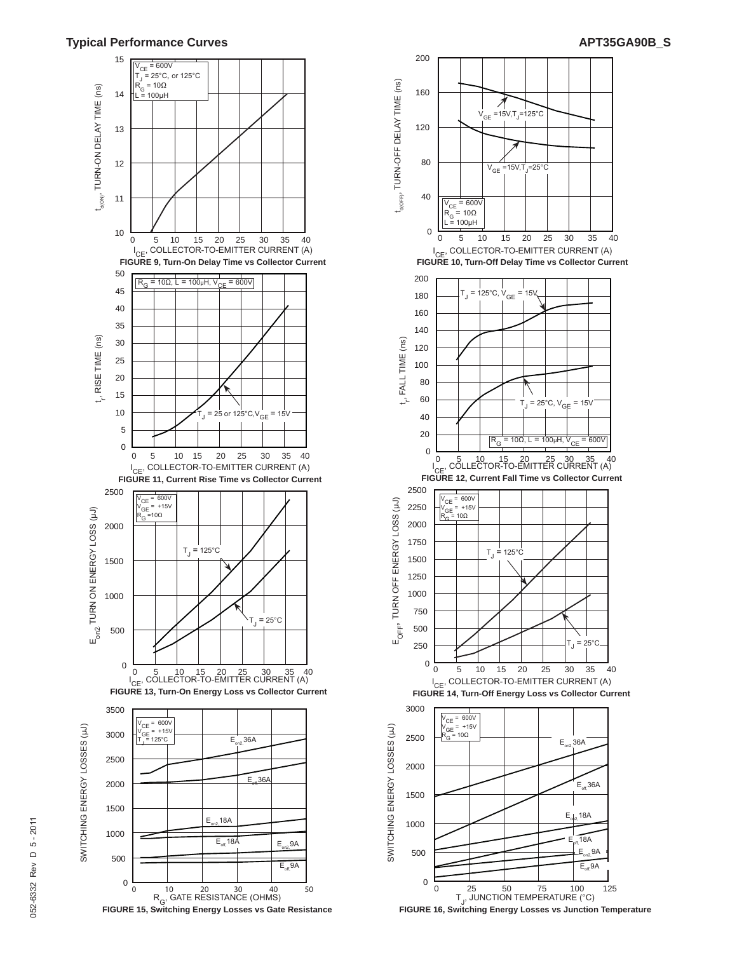#### **Typical Performance Curves APT35GA90B\_S**





**FIGURE 16, Switching Energy Losses vs Junction Temperature**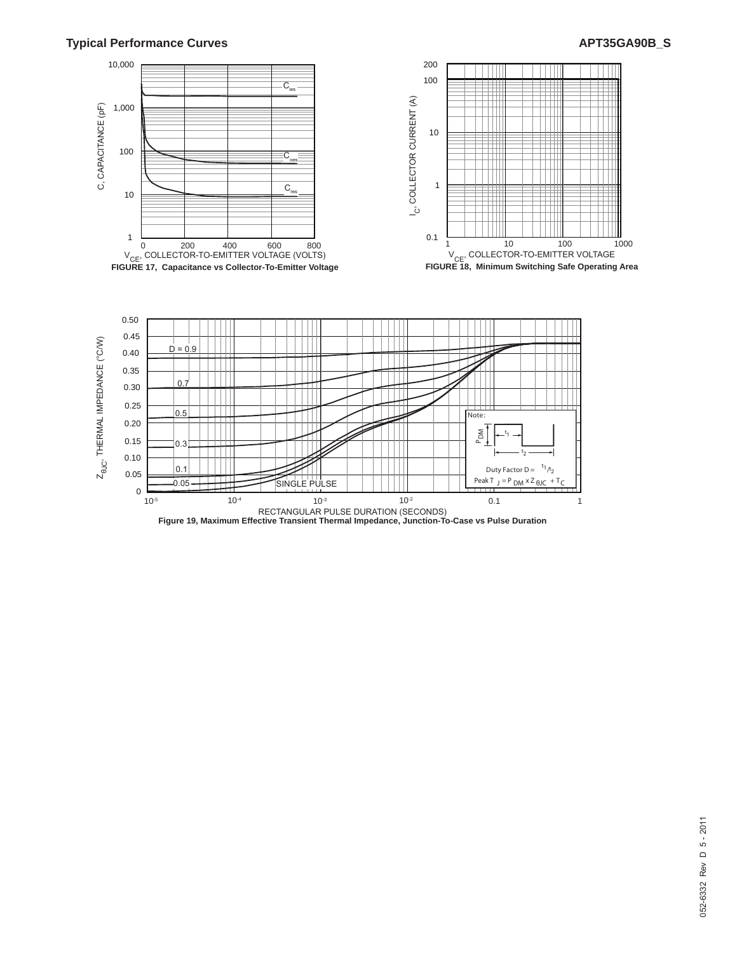### **Typical Performance Curves APT35GA90B\_S**